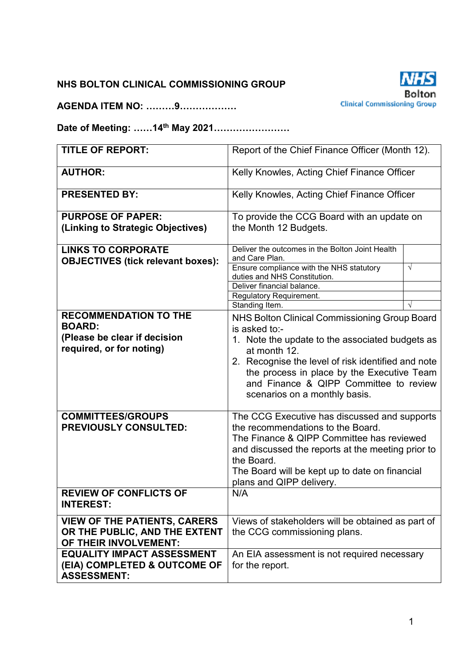### **NHS BOLTON CLINICAL COMMISSIONING GROUP**

**AGENDA ITEM NO: ………9………………** 



**Date of Meeting: ……14th May 2021……………………** 

| <b>TITLE OF REPORT:</b>                  | Report of the Chief Finance Officer (Month 12).                                      |            |  |
|------------------------------------------|--------------------------------------------------------------------------------------|------------|--|
| <b>AUTHOR:</b>                           | Kelly Knowles, Acting Chief Finance Officer                                          |            |  |
| <b>PRESENTED BY:</b>                     | Kelly Knowles, Acting Chief Finance Officer                                          |            |  |
| <b>PURPOSE OF PAPER:</b>                 | To provide the CCG Board with an update on                                           |            |  |
| (Linking to Strategic Objectives)        | the Month 12 Budgets.                                                                |            |  |
| <b>LINKS TO CORPORATE</b>                | Deliver the outcomes in the Bolton Joint Health<br>and Care Plan.                    |            |  |
| <b>OBJECTIVES (tick relevant boxes):</b> | Ensure compliance with the NHS statutory                                             | $\sqrt{ }$ |  |
|                                          | duties and NHS Constitution.                                                         |            |  |
|                                          | Deliver financial balance.<br>Regulatory Requirement.                                |            |  |
|                                          | Standing Item.                                                                       |            |  |
| <b>RECOMMENDATION TO THE</b>             | NHS Bolton Clinical Commissioning Group Board                                        |            |  |
| <b>BOARD:</b>                            | is asked to:-                                                                        |            |  |
| (Please be clear if decision             | 1. Note the update to the associated budgets as                                      |            |  |
| required, or for noting)                 | at month 12.                                                                         |            |  |
|                                          | 2. Recognise the level of risk identified and note                                   |            |  |
|                                          | the process in place by the Executive Team<br>and Finance & QIPP Committee to review |            |  |
|                                          | scenarios on a monthly basis.                                                        |            |  |
|                                          |                                                                                      |            |  |
| <b>COMMITTEES/GROUPS</b>                 | The CCG Executive has discussed and supports                                         |            |  |
| <b>PREVIOUSLY CONSULTED:</b>             | the recommendations to the Board.                                                    |            |  |
|                                          | The Finance & QIPP Committee has reviewed                                            |            |  |
|                                          | and discussed the reports at the meeting prior to<br>the Board.                      |            |  |
|                                          | The Board will be kept up to date on financial                                       |            |  |
|                                          | plans and QIPP delivery.                                                             |            |  |
| <b>REVIEW OF CONFLICTS OF</b>            | N/A                                                                                  |            |  |
| <b>INTEREST:</b>                         |                                                                                      |            |  |
| <b>VIEW OF THE PATIENTS, CARERS</b>      | Views of stakeholders will be obtained as part of                                    |            |  |
| OR THE PUBLIC, AND THE EXTENT            | the CCG commissioning plans.                                                         |            |  |
| OF THEIR INVOLVEMENT:                    |                                                                                      |            |  |
| <b>EQUALITY IMPACT ASSESSMENT</b>        | An EIA assessment is not required necessary                                          |            |  |
| (EIA) COMPLETED & OUTCOME OF             | for the report.                                                                      |            |  |
| <b>ASSESSMENT:</b>                       |                                                                                      |            |  |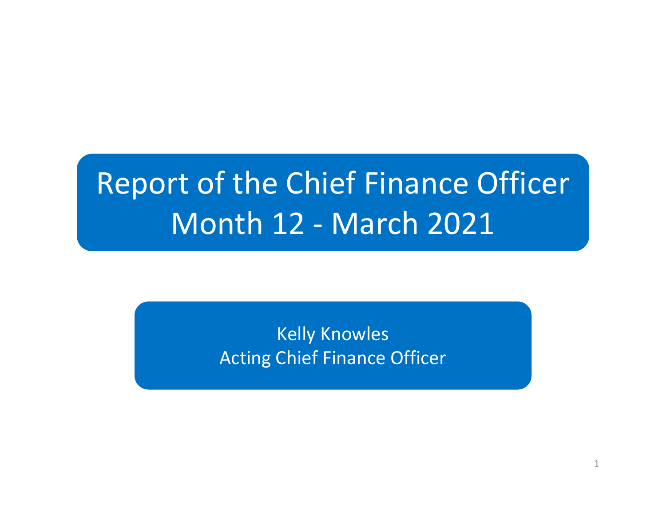# Report of the Chief Finance OfficerMonth 12 - March 2021

Kelly KnowlesActing Chief Finance Officer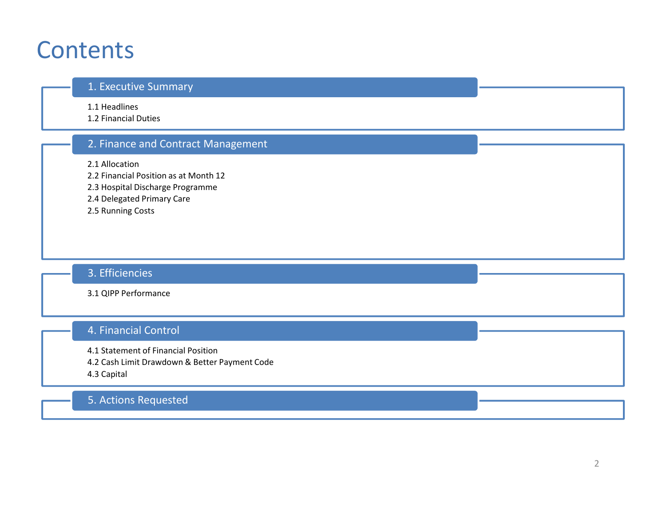### **Contents**

#### 1. Executive Summary

1.1 Headlines

1.2 Financial Duties

### 2. Finance and Contract Management

2.1 Allocation

2.2 Financial Position as at Month 12

2.3 Hospital Discharge Programme

- 2.4 Delegated Primary Care
- 2.5 Running Costs

### 3. Efficiencies

3.1 QIPP Performance

### 4. Financial Control

4.1 Statement of Financial Position

4.2 Cash Limit Drawdown & Better Payment Code

4.3 Capital

### 5. Actions Requested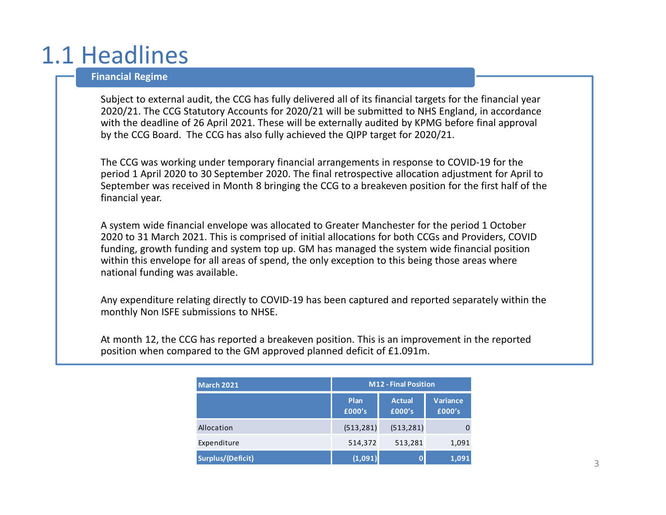# 1.1 Headlines

#### **Financial Regime**

Subject to external audit, the CCG has fully delivered all of its financial targets for the financial year 2020/21. The CCG Statutory Accounts for 2020/21 will be submitted to NHS England, in accordance with the deadline of 26 April 2021. These will be externally audited by KPMG before final approval by the CCG Board. The CCG has also fully achieved the QIPP target for 2020/21.

The CCG was working under temporary financial arrangements in response to COVID-19 for the period 1 April 2020 to 30 September 2020. The final retrospective allocation adjustment for April to September was received in Month 8 bringing the CCG to a breakeven position for the first half of the financial year.

A system wide financial envelope was allocated to Greater Manchester for the period 1 October 2020 to 31 March 2021. This is comprised of initial allocations for both CCGs and Providers, COVID funding, growth funding and system top up. GM has managed the system wide financial position within this envelope for all areas of spend, the only exception to this being those areas where national funding was available.

Any expenditure relating directly to COVID-19 has been captured and reported separately within the monthly Non ISFE submissions to NHSE.

At month 12, the CCG has reported a breakeven position. This is an improvement in the reported position when compared to the GM approved planned deficit of £1.091m.

| <b>March 2021</b>        | <b>M12 - Final Position</b> |                         |                           |
|--------------------------|-----------------------------|-------------------------|---------------------------|
|                          | Plan<br>£000's              | <b>Actual</b><br>£000's | <b>Variance</b><br>£000's |
| Allocation               | (513, 281)                  | (513, 281)              |                           |
| Expenditure              | 514,372                     | 513,281                 | 1,091                     |
| <b>Surplus/(Deficit)</b> | (1,091)                     |                         | 1,091                     |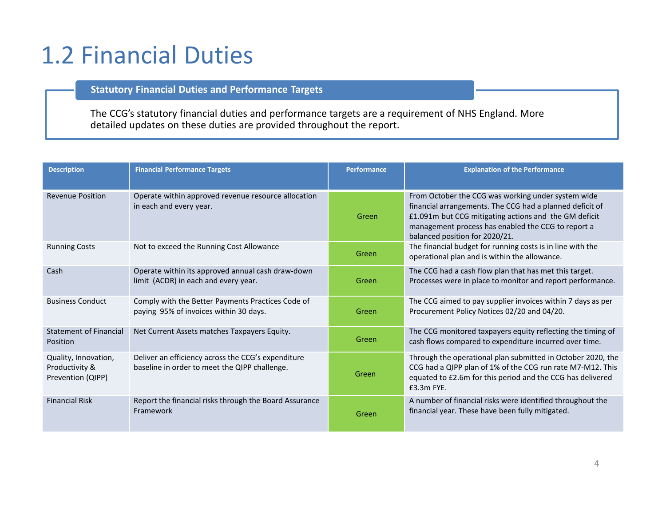# 1.2 Financial Duties

#### **Statutory Financial Duties and Performance Targets**

The CCG's statutory financial duties and performance targets are a requirement of NHS England. More detailed updates on these duties are provided throughout the report.

| <b>Description</b>                                          | <b>Financial Performance Targets</b>                                                                | <b>Performance</b> | <b>Explanation of the Performance</b>                                                                                                                                                                                                                           |
|-------------------------------------------------------------|-----------------------------------------------------------------------------------------------------|--------------------|-----------------------------------------------------------------------------------------------------------------------------------------------------------------------------------------------------------------------------------------------------------------|
| <b>Revenue Position</b>                                     | Operate within approved revenue resource allocation<br>in each and every year.                      | Green              | From October the CCG was working under system wide<br>financial arrangements. The CCG had a planned deficit of<br>£1.091m but CCG mitigating actions and the GM deficit<br>management process has enabled the CCG to report a<br>balanced position for 2020/21. |
| <b>Running Costs</b>                                        | Not to exceed the Running Cost Allowance                                                            | Green              | The financial budget for running costs is in line with the<br>operational plan and is within the allowance.                                                                                                                                                     |
| Cash                                                        | Operate within its approved annual cash draw-down<br>limit (ACDR) in each and every year.           | Green              | The CCG had a cash flow plan that has met this target.<br>Processes were in place to monitor and report performance.                                                                                                                                            |
| <b>Business Conduct</b>                                     | Comply with the Better Payments Practices Code of<br>paying 95% of invoices within 30 days.         | Green              | The CCG aimed to pay supplier invoices within 7 days as per<br>Procurement Policy Notices 02/20 and 04/20.                                                                                                                                                      |
| Statement of Financial<br>Position                          | Net Current Assets matches Taxpayers Equity.                                                        | Green              | The CCG monitored taxpayers equity reflecting the timing of<br>cash flows compared to expenditure incurred over time.                                                                                                                                           |
| Quality, Innovation,<br>Productivity &<br>Prevention (QIPP) | Deliver an efficiency across the CCG's expenditure<br>baseline in order to meet the QIPP challenge. | Green              | Through the operational plan submitted in October 2020, the<br>CCG had a QIPP plan of 1% of the CCG run rate M7-M12. This<br>equated to £2.6m for this period and the CCG has delivered<br>$£3.3m$ FYE.                                                         |
| <b>Financial Risk</b>                                       | Report the financial risks through the Board Assurance<br>Framework                                 | Green              | A number of financial risks were identified throughout the<br>financial year. These have been fully mitigated.                                                                                                                                                  |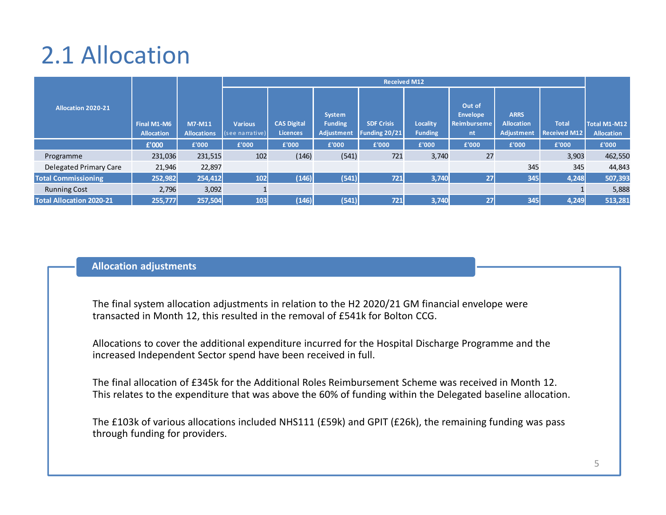# 2.1 Allocation

|                                 |                                  |                              |                                   | <b>Received M12</b>                   |                                               |                                    |                            |                                                |                                                       |                                     |                                   |
|---------------------------------|----------------------------------|------------------------------|-----------------------------------|---------------------------------------|-----------------------------------------------|------------------------------------|----------------------------|------------------------------------------------|-------------------------------------------------------|-------------------------------------|-----------------------------------|
| <b>Allocation 2020-21</b>       | Final M1-M6<br><b>Allocation</b> | M7-M11<br><b>Allocations</b> | <b>Various</b><br>(see narrative) | <b>CAS Digital</b><br><b>Licences</b> | System<br><b>Funding</b><br><b>Adjustment</b> | <b>SDF Crisis</b><br>Funding 20/21 | Locality<br><b>Funding</b> | Out of<br><b>Envelope</b><br>Reimburseme<br>nt | <b>ARRS</b><br><b>Allocation</b><br><b>Adjustment</b> | <b>Total</b><br><b>Received M12</b> | Total M1-M12<br><b>Allocation</b> |
|                                 | £'000                            | £'000                        | £'000                             | £'000                                 | £'000                                         | £'000                              | £'000                      | £'000                                          | £'000                                                 | £'000                               | £'000                             |
| Programme                       | 231,036                          | 231,515                      | 102                               | (146)                                 | (541)                                         | 721                                | 3,740                      | 27                                             |                                                       | 3,903                               | 462,550                           |
| Delegated Primary Care          | 21,946                           | 22,897                       |                                   |                                       |                                               |                                    |                            |                                                | 345                                                   | 345                                 | 44,843                            |
| <b>Total Commissioning</b>      | 252,982                          | 254,412                      | 102                               | (146)                                 | (541)                                         | 721                                | 3,740                      | 27                                             | 345                                                   | 4,248                               | 507,393                           |
| <b>Running Cost</b>             | 2,796                            | 3,092                        |                                   |                                       |                                               |                                    |                            |                                                |                                                       |                                     | 5,888                             |
| <b>Total Allocation 2020-21</b> | 255,777                          | 257,504                      | 103                               | (146)                                 | (541)                                         | 721                                | 3,740                      | 27                                             | 345                                                   | 4,249                               | 513,281                           |

#### **Allocation adjustments**

The final system allocation adjustments in relation to the H2 2020/21 GM financial envelope were transacted in Month 12, this resulted in the removal of £541k for Bolton CCG.

Allocations to cover the additional expenditure incurred for the Hospital Discharge Programme and the increased Independent Sector spend have been received in full.

The final allocation of £345k for the Additional Roles Reimbursement Scheme was received in Month 12. This relates to the expenditure that was above the 60% of funding within the Delegated baseline allocation.

The £103k of various allocations included NHS111 (£59k) and GPIT (£26k), the remaining funding was passthrough funding for providers.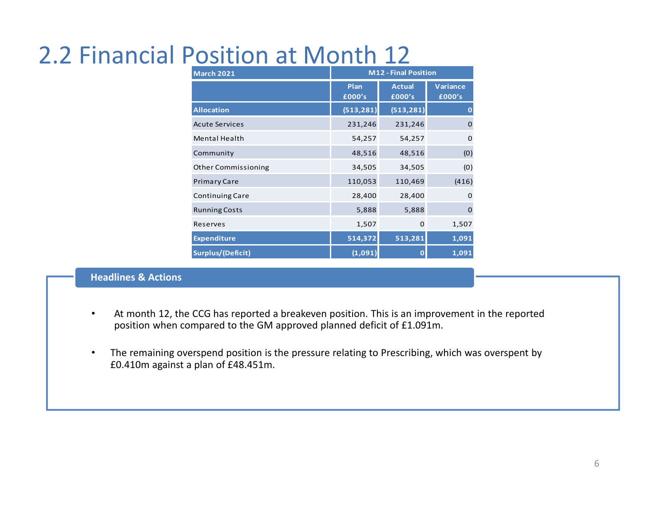# 2.2 Financial Position at Month 12

| <b>March 2021</b>          | <b>M12 - Final Position</b> |                         |                           |  |
|----------------------------|-----------------------------|-------------------------|---------------------------|--|
|                            | Plan<br>£000's              | <b>Actual</b><br>£000's | <b>Variance</b><br>£000's |  |
| <b>Allocation</b>          | (513, 281)                  | (513, 281)              | $\bf{0}$                  |  |
| <b>Acute Services</b>      | 231,246                     | 231,246                 | $\mathbf 0$               |  |
| Mental Health              | 54,257                      | 54,257                  | $\mathbf 0$               |  |
| Community                  | 48,516                      | 48,516                  | (0)                       |  |
| <b>Other Commissioning</b> | 34,505                      | 34,505                  | (0)                       |  |
| <b>Primary Care</b>        | 110,053                     | 110,469                 | (416)                     |  |
| <b>Continuing Care</b>     | 28,400                      | 28,400                  | $\mathbf 0$               |  |
| <b>Running Costs</b>       | 5,888                       | 5,888                   | $\mathbf 0$               |  |
| Reserves                   | 1,507                       | 0                       | 1,507                     |  |
| <b>Expenditure</b>         | 514,372                     | 513,281                 | 1,091                     |  |
| <b>Surplus/(Deficit)</b>   | (1,091)                     | 0                       | 1,091                     |  |

#### **Headlines & Actions**

- • At month 12, the CCG has reported a breakeven position. This is an improvement in the reported position when compared to the GM approved planned deficit of £1.091m.
- • The remaining overspend position is the pressure relating to Prescribing, which was overspent by £0.410m against a plan of £48.451m.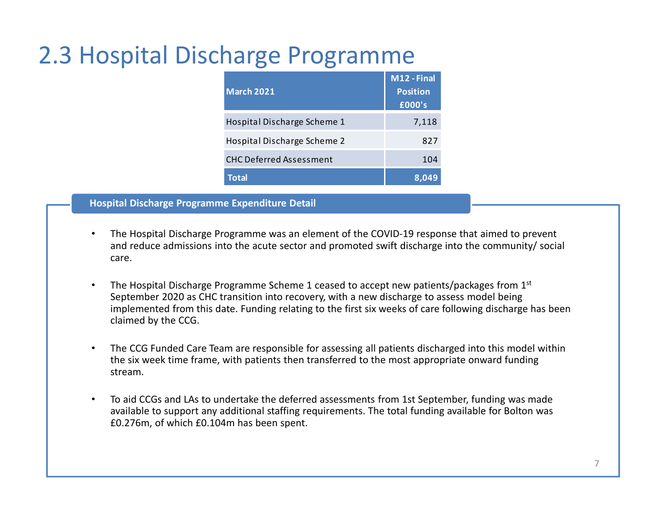# 2.3 Hospital Discharge Programme

| <b>March 2021</b>              | M12 - Final<br><b>Position</b><br>£000's |
|--------------------------------|------------------------------------------|
| Hospital Discharge Scheme 1    | 7,118                                    |
| Hospital Discharge Scheme 2    | 827                                      |
| <b>CHC Deferred Assessment</b> | 104                                      |
| <b>Total</b>                   | 8.049                                    |

**Hospital Discharge Programme Expenditure Detail**

- • The Hospital Discharge Programme was an element of the COVID-19 response that aimed to prevent and reduce admissions into the acute sector and promoted swift discharge into the community/ social care.
- •The Hospital Discharge Programme Scheme 1 ceased to accept new patients/packages from 1<sup>st</sup> September 2020 as CHC transition into recovery, with a new discharge to assess model being implemented from this date. Funding relating to the first six weeks of care following discharge has been claimed by the CCG.
- • The CCG Funded Care Team are responsible for assessing all patients discharged into this model within the six week time frame, with patients then transferred to the most appropriate onward funding stream.
- • To aid CCGs and LAs to undertake the deferred assessments from 1st September, funding was made available to support any additional staffing requirements. The total funding available for Bolton was £0.276m, of which £0.104m has been spent.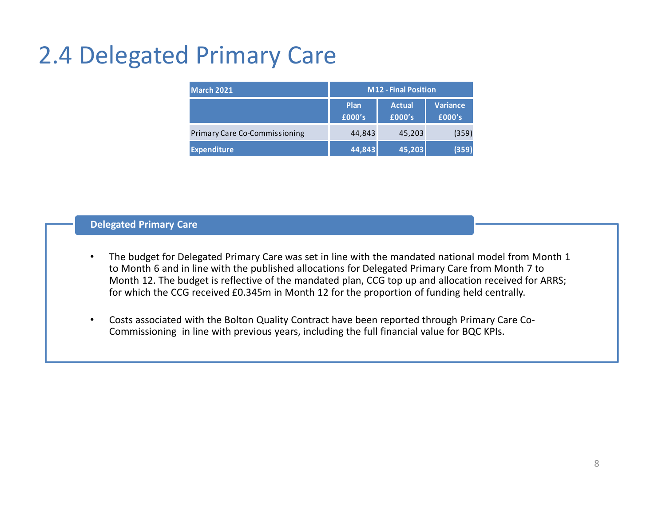# 2.4 Delegated Primary Care

| March 2021                           |                | <b>M12 - Final Position</b> |                           |
|--------------------------------------|----------------|-----------------------------|---------------------------|
|                                      | Plan<br>£000's | <b>Actual</b><br>£000's     | <b>Variance</b><br>£000's |
| <b>Primary Care Co-Commissioning</b> | 44,843         | 45,203                      | (359)                     |
| <b>Expenditure</b>                   | 44,843         | 45,203                      | (359)                     |

#### **Delegated Primary Care**

- • The budget for Delegated Primary Care was set in line with the mandated national model from Month 1 to Month 6 and in line with the published allocations for Delegated Primary Care from Month 7 to Month 12. The budget is reflective of the mandated plan, CCG top up and allocation received for ARRS; for which the CCG received £0.345m in Month 12 for the proportion of funding held centrally.
- • Costs associated with the Bolton Quality Contract have been reported through Primary Care Co-Commissioning in line with previous years, including the full financial value for BQC KPIs.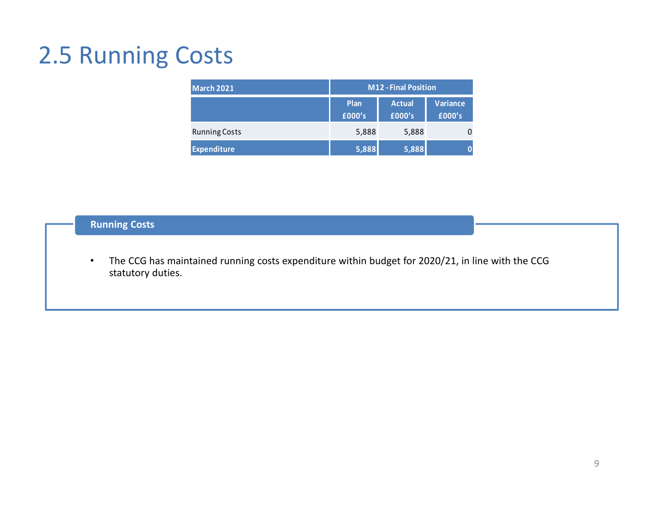### 2.5 Running Costs

| March 2021           | <b>M12 - Final Position</b> |                         |                           |
|----------------------|-----------------------------|-------------------------|---------------------------|
|                      | Plan<br>£000's              | <b>Actual</b><br>£000's | <b>Variance</b><br>£000's |
| <b>Running Costs</b> | 5,888                       | 5,888                   |                           |
| <b>Expenditure</b>   | 5,888                       | 5,888                   | O                         |

### **Running Costs**

• The CCG has maintained running costs expenditure within budget for 2020/21, in line with the CCG statutory duties.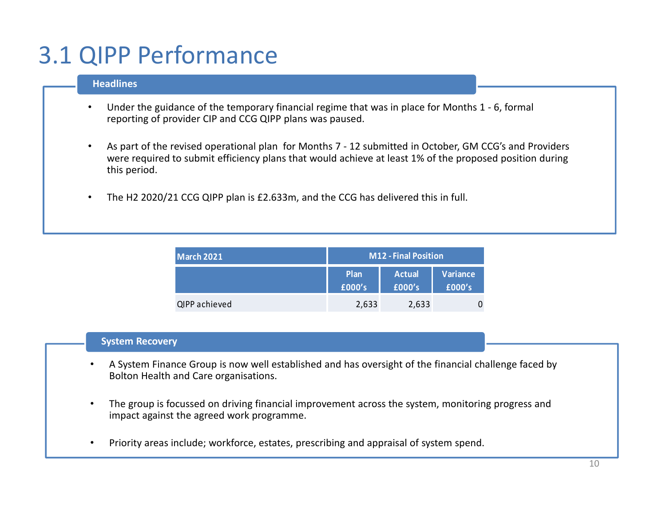# 3.1 QIPP Performance

#### **Headlines**

- • Under the guidance of the temporary financial regime that was in place for Months 1 - 6, formal reporting of provider CIP and CCG QIPP plans was paused.
- • As part of the revised operational plan for Months 7 - 12 submitted in October, GM CCG's and Providers were required to submit efficiency plans that would achieve at least 1% of the proposed position during this period.
- •The H2 2020/21 CCG QIPP plan is £2.633m, and the CCG has delivered this in full.

| March 2021    | M12 - Final Position |                         |                    |
|---------------|----------------------|-------------------------|--------------------|
|               | Plan<br>£000's       | <b>Actual</b><br>£000's | Variance<br>£000's |
| QIPP achieved | 2,633                | 2,633                   |                    |

#### **System Recovery**

- • A System Finance Group is now well established and has oversight of the financial challenge faced by Bolton Health and Care organisations.
- • The group is focussed on driving financial improvement across the system, monitoring progress and impact against the agreed work programme.
- •Priority areas include; workforce, estates, prescribing and appraisal of system spend.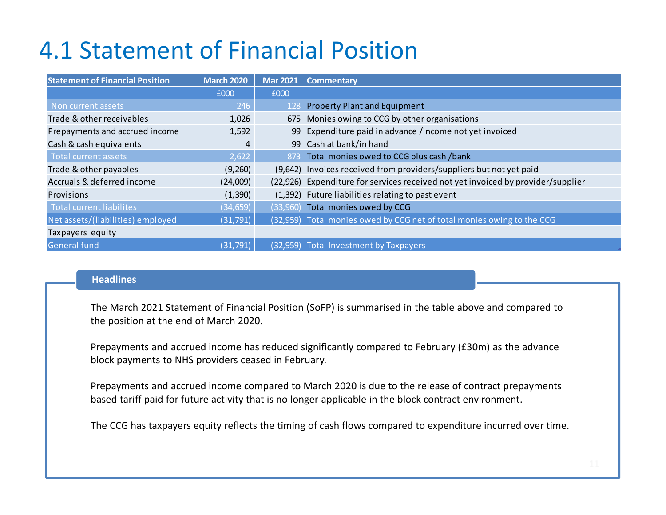# 4.1 Statement of Financial Position

| <b>Statement of Financial Position</b> | <b>March 2020</b> | <b>Mar 2021</b> | <b>Commentary</b>                                                                |
|----------------------------------------|-------------------|-----------------|----------------------------------------------------------------------------------|
|                                        | £000              | £000            |                                                                                  |
| Non current assets                     | 246               | 128             | <b>Property Plant and Equipment</b>                                              |
| Trade & other receivables              | 1,026             |                 | 675 Monies owing to CCG by other organisations                                   |
| Prepayments and accrued income         | 1,592             | 99              | Expenditure paid in advance /income not yet invoiced                             |
| Cash & cash equivalents                | 4                 |                 | 99 Cash at bank/in hand                                                          |
| <b>Total current assets</b>            | 2,622             |                 | 873 Total monies owed to CCG plus cash /bank                                     |
| Trade & other payables                 | (9,260)           |                 | (9,642) Invoices received from providers/suppliers but not yet paid              |
| Accruals & deferred income             | (24,009)          |                 | (22,926) Expenditure for services received not yet invoiced by provider/supplier |
| Provisions                             | (1, 390)          |                 | (1,392) Future liabilities relating to past event                                |
| <b>Total current liabilites</b>        | (34, 659)         |                 | (33,960) Total monies owed by CCG                                                |
| Net assets/(liabilities) employed      | (31, 791)         |                 | (32,959) Total monies owed by CCG net of total monies owing to the CCG           |
| Taxpayers equity                       |                   |                 |                                                                                  |
| <b>General fund</b>                    | (31, 791)         |                 | (32,959) Total Investment by Taxpayers                                           |

#### **Headlines**

The March 2021 Statement of Financial Position (SoFP) is summarised in the table above and compared tothe position at the end of March 2020.

Prepayments and accrued income has reduced significantly compared to February (£30m) as the advance block payments to NHS providers ceased in February.

Prepayments and accrued income compared to March 2020 is due to the release of contract prepayments based tariff paid for future activity that is no longer applicable in the block contract environment.

The CCG has taxpayers equity reflects the timing of cash flows compared to expenditure incurred over time.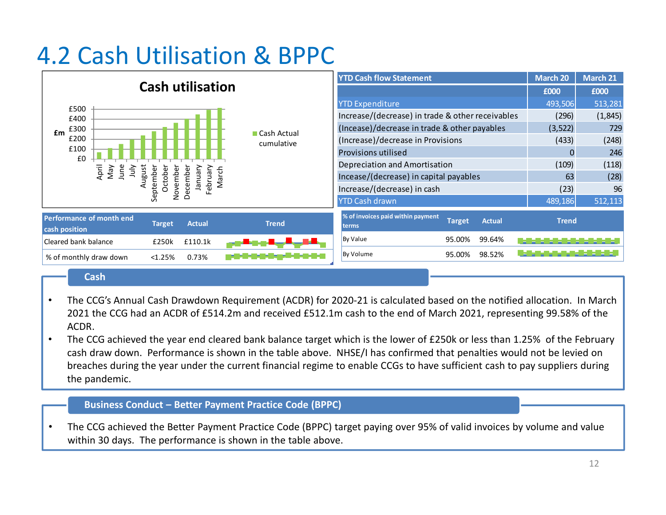# 4.2 Cash Utilisation & BPPC

|                                                                                                                | <b>YTD Cash flow Statement</b>                                               | <b>March 20</b> | March 21 |
|----------------------------------------------------------------------------------------------------------------|------------------------------------------------------------------------------|-----------------|----------|
| <b>Cash utilisation</b>                                                                                        |                                                                              | £000            | £000     |
| £500                                                                                                           | <b>YTD Expenditure</b>                                                       | 493,506         | 513,281  |
| £400                                                                                                           | Increase/(decrease) in trade & other receivables                             | (296)           | (1,845)  |
| £300<br>£m<br>■ Cash Actual                                                                                    | (Incease)/decrease in trade & other payables                                 | (3,522)         | 729      |
| £200<br>cumulative                                                                                             | (Increase)/decrease in Provisions                                            | (433)           | (248)    |
| £100<br>£0                                                                                                     | Provisions utilised                                                          |                 | 246      |
| ω                                                                                                              | Depreciation and Amortisation                                                | (109)           | (118)    |
| April<br>June<br>ugust<br>Nay<br>$\frac{2}{3}$<br>ebruary<br>Septembe<br>Octobe<br>January<br>March<br>Vovembe | Incease/(decrease) in capital payables                                       | 63              | (28)     |
| ق<br>ιī                                                                                                        | Increase/(decrease) in cash                                                  | (23)            | 96       |
|                                                                                                                | <b>YTD Cash drawn</b>                                                        | 489,186         | 512,113  |
| <b>Performance of month end</b><br><b>Actual</b><br><b>Trend</b><br>Target,<br>cash position                   | % of invoices paid within payment<br><b>Target</b><br><b>Actual</b><br>terms | <b>Trend</b>    |          |
| Cleared bank balance<br>£110.1k<br>£250k                                                                       | <b>By Value</b><br>99.64%<br>95.00%                                          |                 |          |
| % of monthly draw down<br>< 1.25%<br>0.73%                                                                     | <b>By Volume</b><br>98.52%<br>95.00%                                         |                 |          |

#### **Cash**

- • The CCG's Annual Cash Drawdown Requirement (ACDR) for 2020-21 is calculated based on the notified allocation. In March 2021 the CCG had an ACDR of £514.2m and received £512.1m cash to the end of March 2021, representing 99.58% of the ACDR.
- • The CCG achieved the year end cleared bank balance target which is the lower of £250k or less than 1.25% of the February cash draw down. Performance is shown in the table above. NHSE/I has confirmed that penalties would not be levied on breaches during the year under the current financial regime to enable CCGs to have sufficient cash to pay suppliers during the pandemic.

#### **Business Conduct – Better Payment Practice Code (BPPC)**

• The CCG achieved the Better Payment Practice Code (BPPC) target paying over 95% of valid invoices by volume and value within 30 days. The performance is shown in the table above.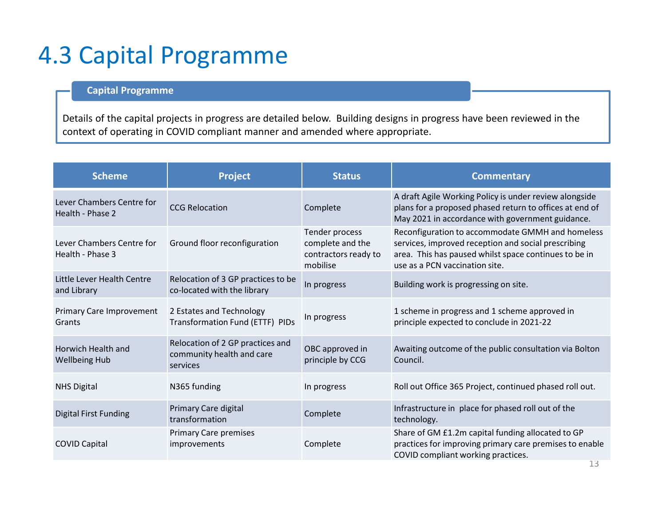### 4.3 Capital Programme

### **Capital Programme**

Details of the capital projects in progress are detailed below. Building designs in progress have been reviewed in the context of operating in COVID compliant manner and amended where appropriate.

| <b>Scheme</b>                                 | <b>Project</b>                                                            | <b>Status</b>                                                          | <b>Commentary</b>                                                                                                                                                                                  |
|-----------------------------------------------|---------------------------------------------------------------------------|------------------------------------------------------------------------|----------------------------------------------------------------------------------------------------------------------------------------------------------------------------------------------------|
| Lever Chambers Centre for<br>Health - Phase 2 | <b>CCG Relocation</b>                                                     | Complete                                                               | A draft Agile Working Policy is under review alongside<br>plans for a proposed phased return to offices at end of<br>May 2021 in accordance with government guidance.                              |
| Lever Chambers Centre for<br>Health - Phase 3 | Ground floor reconfiguration                                              | Tender process<br>complete and the<br>contractors ready to<br>mobilise | Reconfiguration to accommodate GMMH and homeless<br>services, improved reception and social prescribing<br>area. This has paused whilst space continues to be in<br>use as a PCN vaccination site. |
| Little Lever Health Centre<br>and Library     | Relocation of 3 GP practices to be<br>co-located with the library         | In progress                                                            | Building work is progressing on site.                                                                                                                                                              |
| Primary Care Improvement<br>Grants            | 2 Estates and Technology<br>Transformation Fund (ETTF) PIDs               | In progress                                                            | 1 scheme in progress and 1 scheme approved in<br>principle expected to conclude in 2021-22                                                                                                         |
| Horwich Health and<br><b>Wellbeing Hub</b>    | Relocation of 2 GP practices and<br>community health and care<br>services | OBC approved in<br>principle by CCG                                    | Awaiting outcome of the public consultation via Bolton<br>Council.                                                                                                                                 |
| <b>NHS Digital</b>                            | N365 funding                                                              | In progress                                                            | Roll out Office 365 Project, continued phased roll out.                                                                                                                                            |
| <b>Digital First Funding</b>                  | Primary Care digital<br>transformation                                    | Complete                                                               | Infrastructure in place for phased roll out of the<br>technology.                                                                                                                                  |
| <b>COVID Capital</b>                          | <b>Primary Care premises</b><br>improvements                              | Complete                                                               | Share of GM £1.2m capital funding allocated to GP<br>practices for improving primary care premises to enable<br>COVID compliant working practices.                                                 |